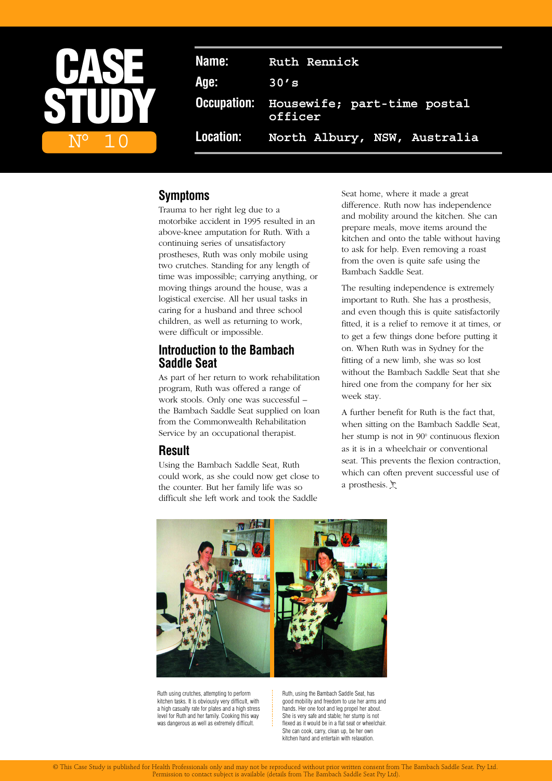

**Name: Ruth Rennick Age: 30's Occupation: Housewife; part-time postal officer Location: North Albury, NSW, Australia**

# **Symptoms**

Trauma to her right leg due to a motorbike accident in 1995 resulted in an above-knee amputation for Ruth. With a continuing series of unsatisfactory prostheses, Ruth was only mobile using two crutches. Standing for any length of time was impossible; carrying anything, or moving things around the house, was a logistical exercise. All her usual tasks in caring for a husband and three school children, as well as returning to work, were difficult or impossible.

# **Introduction to the Bambach Saddle Seat**

As part of her return to work rehabilitation program, Ruth was offered a range of work stools. Only one was successful – the Bambach Saddle Seat supplied on loan from the Commonwealth Rehabilitation Service by an occupational therapist.

## **Result**

Using the Bambach Saddle Seat, Ruth could work, as she could now get close to the counter. But her family life was so difficult she left work and took the Saddle

Seat home, where it made a great difference. Ruth now has independence and mobility around the kitchen. She can prepare meals, move items around the kitchen and onto the table without having to ask for help. Even removing a roast from the oven is quite safe using the Bambach Saddle Seat.

The resulting independence is extremely important to Ruth. She has a prosthesis, and even though this is quite satisfactorily fitted, it is a relief to remove it at times, or to get a few things done before putting it on. When Ruth was in Sydney for the fitting of a new limb, she was so lost without the Bambach Saddle Seat that she hired one from the company for her six week stay.

A further benefit for Ruth is the fact that, when sitting on the Bambach Saddle Seat, her stump is not in 90° continuous flexion as it is in a wheelchair or conventional seat. This prevents the flexion contraction, which can often prevent successful use of a prosthesis.  $\sum$ 



Ruth using crutches, attempting to perform kitchen tasks. It is obviously very difficult, with a high casualty rate for plates and a high stress level for Ruth and her family. Cooking this way was dangerous as well as extremely difficult.

Ruth, using the Bambach Saddle Seat, has good mobility and freedom to use her arms and hands. Her one foot and leg propel her about. She is very safe and stable; her stump is not flexed as it would be in a flat seat or wheelchair She can cook, carry, clean up, be her own kitchen hand and entertain with relaxation.